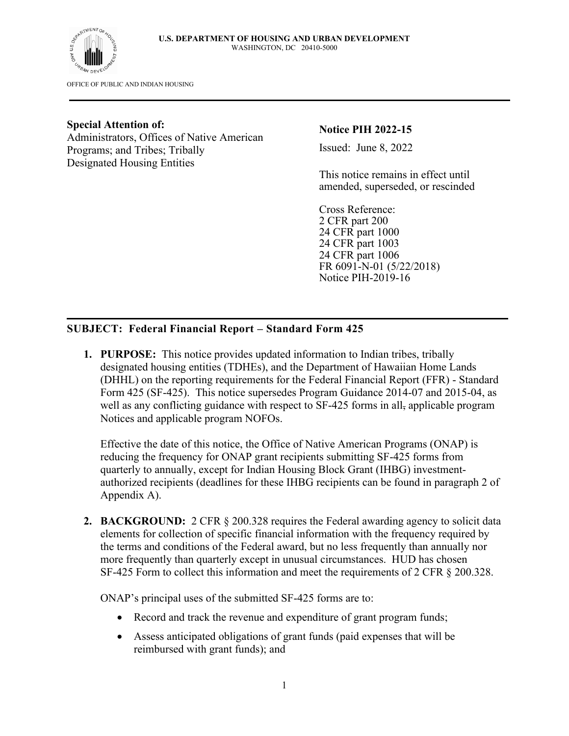

OFFICE OF PUBLIC AND INDIAN HOUSING

#### **Special Attention of:**

Administrators, Offices of Native American Programs; and Tribes; Tribally Designated Housing Entities

**Notice PIH 2022-15**

Issued: June 8, 2022

This notice remains in effect until amended, superseded, or rescinded

Cross Reference: 2 CFR part 200 24 CFR part 1000 24 CFR part 1003 24 CFR part 1006 FR 6091-N-01 (5/22/2018) Notice PIH-2019-16

## **SUBJECT: Federal Financial Report – Standard Form 425**

**1. PURPOSE:** This notice provides updated information to Indian tribes, tribally designated housing entities (TDHEs), and the Department of Hawaiian Home Lands (DHHL) on the reporting requirements for the Federal Financial Report (FFR) - Standard Form 425 (SF-425). This notice supersedes Program Guidance 2014-07 and 2015-04, as well as any conflicting guidance with respect to SF-425 forms in all, applicable program Notices and applicable program NOFOs.

Effective the date of this notice, the Office of Native American Programs (ONAP) is reducing the frequency for ONAP grant recipients submitting SF-425 forms from quarterly to annually, except for Indian Housing Block Grant (IHBG) investmentauthorized recipients (deadlines for these IHBG recipients can be found in paragraph 2 of Appendix A).

**2. BACKGROUND:** 2 CFR § 200.328 requires the Federal awarding agency to solicit data elements for collection of specific financial information with the frequency required by the terms and conditions of the Federal award, but no less frequently than annually nor more frequently than quarterly except in unusual circumstances. HUD has chosen SF-425 Form to collect this information and meet the requirements of 2 CFR § 200.328.

ONAP's principal uses of the submitted SF-425 forms are to:

- Record and track the revenue and expenditure of grant program funds;
- Assess anticipated obligations of grant funds (paid expenses that will be reimbursed with grant funds); and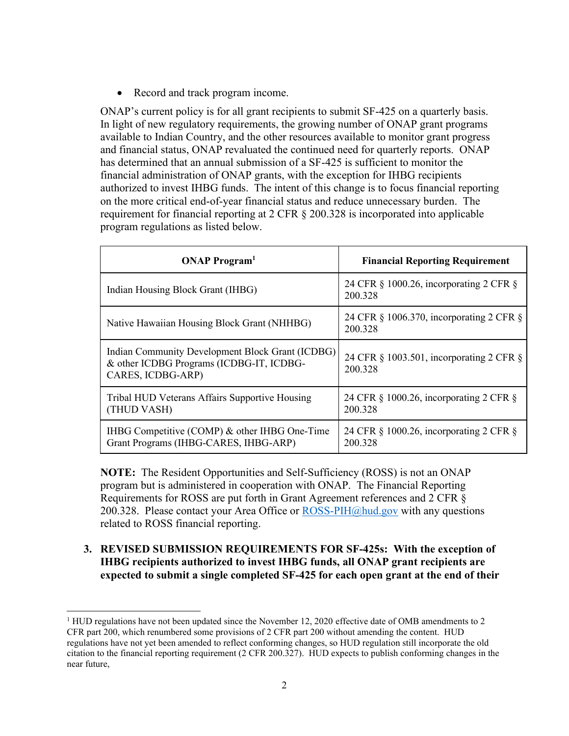• Record and track program income.

ONAP's current policy is for all grant recipients to submit SF-425 on a quarterly basis. In light of new regulatory requirements, the growing number of ONAP grant programs available to Indian Country, and the other resources available to monitor grant progress and financial status, ONAP revaluated the continued need for quarterly reports. ONAP has determined that an annual submission of a SF-425 is sufficient to monitor the financial administration of ONAP grants, with the exception for IHBG recipients authorized to invest IHBG funds. The intent of this change is to focus financial reporting on the more critical end-of-year financial status and reduce unnecessary burden. The requirement for financial reporting at 2 CFR § 200.328 is incorporated into applicable program regulations as listed below.

| <b>ONAP Program</b> <sup>1</sup>                                                                                  | <b>Financial Reporting Requirement</b>              |
|-------------------------------------------------------------------------------------------------------------------|-----------------------------------------------------|
| Indian Housing Block Grant (IHBG)                                                                                 | 24 CFR § 1000.26, incorporating 2 CFR §<br>200.328  |
| Native Hawaiian Housing Block Grant (NHHBG)                                                                       | 24 CFR § 1006.370, incorporating 2 CFR §<br>200.328 |
| Indian Community Development Block Grant (ICDBG)<br>& other ICDBG Programs (ICDBG-IT, ICDBG-<br>CARES, ICDBG-ARP) | 24 CFR § 1003.501, incorporating 2 CFR §<br>200.328 |
| Tribal HUD Veterans Affairs Supportive Housing<br>(THUD VASH)                                                     | 24 CFR § 1000.26, incorporating 2 CFR §<br>200.328  |
| IHBG Competitive (COMP) & other IHBG One-Time<br>Grant Programs (IHBG-CARES, IHBG-ARP)                            | 24 CFR § 1000.26, incorporating 2 CFR §<br>200.328  |

**NOTE:** The Resident Opportunities and Self-Sufficiency (ROSS) is not an ONAP program but is administered in cooperation with ONAP. The Financial Reporting Requirements for ROSS are put forth in Grant Agreement references and 2 CFR § 200.328. Please contact your Area Office or  $\text{ROSS-PIH}(\hat{\omega})$  and gov with any questions related to ROSS financial reporting.

**3. REVISED SUBMISSION REQUIREMENTS FOR SF-425s: With the exception of IHBG recipients authorized to invest IHBG funds, all ONAP grant recipients are expected to submit a single completed SF-425 for each open grant at the end of their** 

 $1$  HUD regulations have not been updated since the November 12, 2020 effective date of OMB amendments to 2 CFR part 200, which renumbered some provisions of 2 CFR part 200 without amending the content. HUD regulations have not yet been amended to reflect conforming changes, so HUD regulation still incorporate the old citation to the financial reporting requirement (2 CFR 200.327). HUD expects to publish conforming changes in the near future,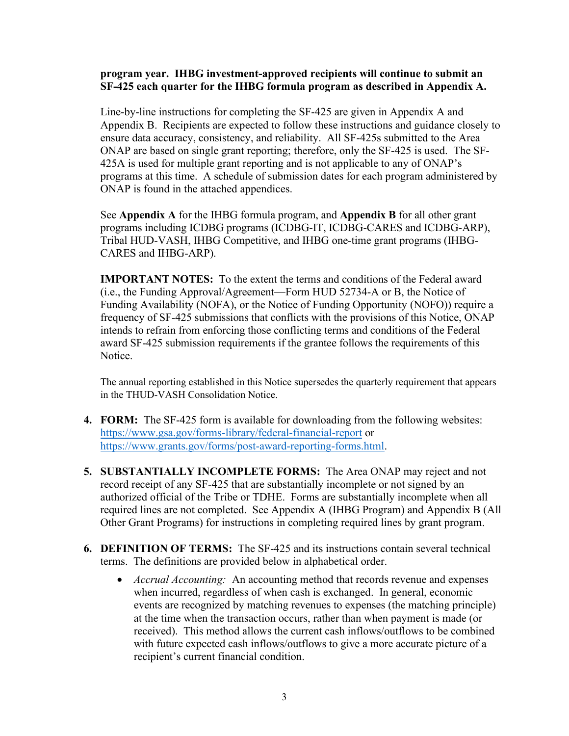#### **program year. IHBG investment-approved recipients will continue to submit an SF-425 each quarter for the IHBG formula program as described in Appendix A.**

Line-by-line instructions for completing the SF-425 are given in Appendix A and Appendix B. Recipients are expected to follow these instructions and guidance closely to ensure data accuracy, consistency, and reliability. All SF-425s submitted to the Area ONAP are based on single grant reporting; therefore, only the SF-425 is used. The SF-425A is used for multiple grant reporting and is not applicable to any of ONAP's programs at this time. A schedule of submission dates for each program administered by ONAP is found in the attached appendices.

See **Appendix A** for the IHBG formula program, and **Appendix B** for all other grant programs including ICDBG programs (ICDBG-IT, ICDBG-CARES and ICDBG-ARP), Tribal HUD-VASH, IHBG Competitive, and IHBG one-time grant programs (IHBG-CARES and IHBG-ARP).

**IMPORTANT NOTES:** To the extent the terms and conditions of the Federal award (i.e., the Funding Approval/Agreement—Form HUD 52734-A or B, the Notice of Funding Availability (NOFA), or the Notice of Funding Opportunity (NOFO)) require a frequency of SF-425 submissions that conflicts with the provisions of this Notice, ONAP intends to refrain from enforcing those conflicting terms and conditions of the Federal award SF-425 submission requirements if the grantee follows the requirements of this Notice.

The annual reporting established in this Notice supersedes the quarterly requirement that appears in the THUD-VASH Consolidation Notice.

- **4. FORM:** The SF-425 form is available for downloading from the following websites: <https://www.gsa.gov/forms-library/federal-financial-report> or [https://www.grants.gov/forms/post-award-reporting-forms.html.](https://www.grants.gov/forms/post-award-reporting-forms.html)
- **5. SUBSTANTIALLY INCOMPLETE FORMS:** The Area ONAP may reject and not record receipt of any SF-425 that are substantially incomplete or not signed by an authorized official of the Tribe or TDHE. Forms are substantially incomplete when all required lines are not completed. See Appendix A (IHBG Program) and Appendix B (All Other Grant Programs) for instructions in completing required lines by grant program.
- **6. DEFINITION OF TERMS:** The SF-425 and its instructions contain several technical terms. The definitions are provided below in alphabetical order.
	- *Accrual Accounting:* An accounting method that records revenue and expenses when incurred, regardless of when cash is exchanged. In general, economic events are recognized by matching revenues to expenses (the matching principle) at the time when the transaction occurs, rather than when payment is made (or received). This method allows the current cash inflows/outflows to be combined with future expected cash inflows/outflows to give a more accurate picture of a recipient's current financial condition.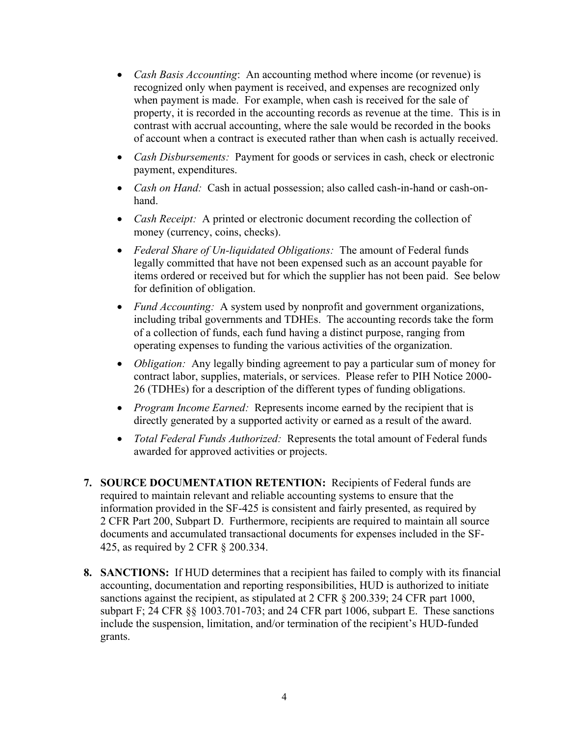- *Cash Basis Accounting*: An accounting method where income (or revenue) is recognized only when payment is received, and expenses are recognized only when payment is made. For example, when cash is received for the sale of property, it is recorded in the accounting records as revenue at the time. This is in contrast with accrual accounting, where the sale would be recorded in the books of account when a contract is executed rather than when cash is actually received.
- *Cash Disbursements:* Payment for goods or services in cash, check or electronic payment, expenditures.
- *Cash on Hand:* Cash in actual possession; also called cash-in-hand or cash-onhand.
- *Cash Receipt:* A printed or electronic document recording the collection of money (currency, coins, checks).
- *Federal Share of Un-liquidated Obligations:* The amount of Federal funds legally committed that have not been expensed such as an account payable for items ordered or received but for which the supplier has not been paid. See below for definition of obligation.
- *Fund Accounting:* A system used by nonprofit and government organizations, including tribal governments and TDHEs. The accounting records take the form of a collection of funds, each fund having a distinct purpose, ranging from operating expenses to funding the various activities of the organization.
- *Obligation:* Any legally binding agreement to pay a particular sum of money for contract labor, supplies, materials, or services. Please refer to PIH Notice 2000- 26 (TDHEs) for a description of the different types of funding obligations.
- *Program Income Earned:* Represents income earned by the recipient that is directly generated by a supported activity or earned as a result of the award.
- *Total Federal Funds Authorized:* Represents the total amount of Federal funds awarded for approved activities or projects.
- **7. SOURCE DOCUMENTATION RETENTION:** Recipients of Federal funds are required to maintain relevant and reliable accounting systems to ensure that the information provided in the SF-425 is consistent and fairly presented, as required by 2 CFR Part 200, Subpart D. Furthermore, recipients are required to maintain all source documents and accumulated transactional documents for expenses included in the SF-425, as required by 2 CFR § 200.334.
- **8. SANCTIONS:** If HUD determines that a recipient has failed to comply with its financial accounting, documentation and reporting responsibilities, HUD is authorized to initiate sanctions against the recipient, as stipulated at 2 CFR § 200.339; 24 CFR part 1000, subpart F; 24 CFR §§ 1003.701-703; and 24 CFR part 1006, subpart E. These sanctions include the suspension, limitation, and/or termination of the recipient's HUD-funded grants.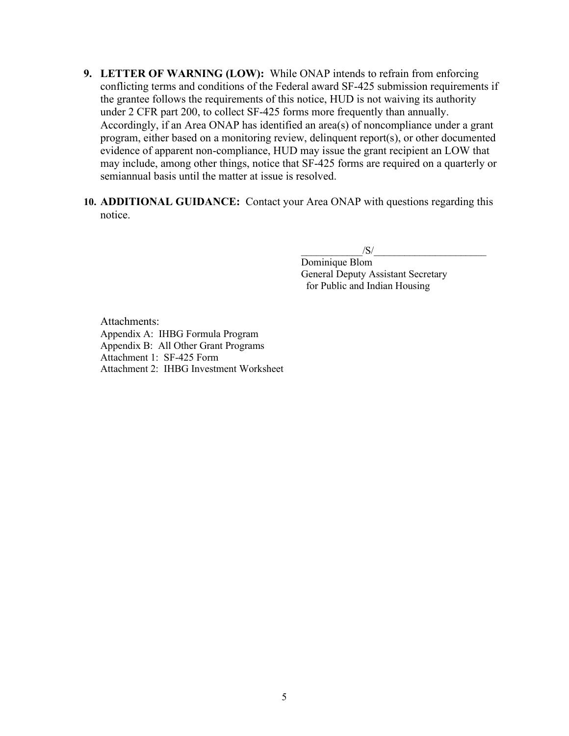- **9. LETTER OF WARNING (LOW):** While ONAP intends to refrain from enforcing conflicting terms and conditions of the Federal award SF-425 submission requirements if the grantee follows the requirements of this notice, HUD is not waiving its authority under 2 CFR part 200, to collect SF-425 forms more frequently than annually. Accordingly, if an Area ONAP has identified an area(s) of noncompliance under a grant program, either based on a monitoring review, delinquent report(s), or other documented evidence of apparent non-compliance, HUD may issue the grant recipient an LOW that may include, among other things, notice that SF-425 forms are required on a quarterly or semiannual basis until the matter at issue is resolved.
- **10. ADDITIONAL GUIDANCE:** Contact your Area ONAP with questions regarding this notice.

 $\sqrt{S}/\sqrt{S}$ 

Dominique Blom General Deputy Assistant Secretary for Public and Indian Housing

Attachments: Appendix A: IHBG Formula Program Appendix B: All Other Grant Programs Attachment 1: SF-425 Form Attachment 2: IHBG Investment Worksheet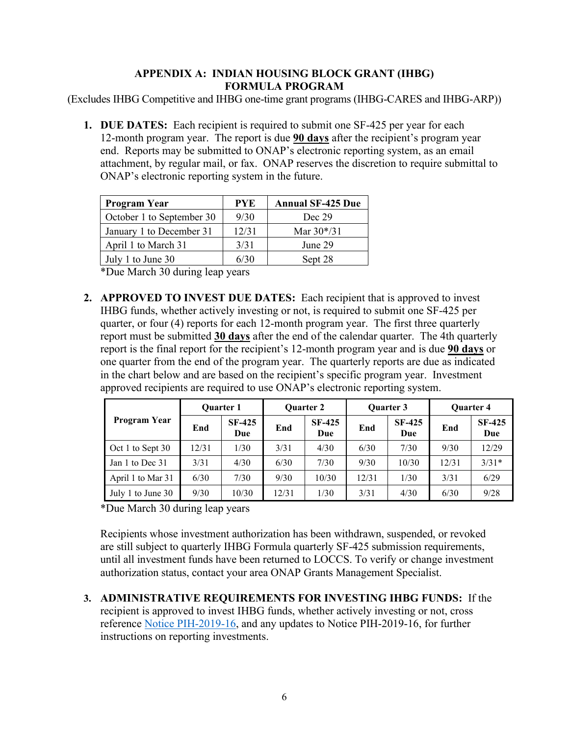## **APPENDIX A: INDIAN HOUSING BLOCK GRANT (IHBG) FORMULA PROGRAM**

(Excludes IHBG Competitive and IHBG one-time grant programs (IHBG-CARES and IHBG-ARP))

**1. DUE DATES:** Each recipient is required to submit one SF-425 per year for each 12-month program year. The report is due **90 days** after the recipient's program year end. Reports may be submitted to ONAP's electronic reporting system, as an email attachment, by regular mail, or fax. ONAP reserves the discretion to require submittal to ONAP's electronic reporting system in the future.

| <b>Program Year</b>       | <b>PYE</b> | <b>Annual SF-425 Due</b> |
|---------------------------|------------|--------------------------|
| October 1 to September 30 | 9/30       | Dec 29                   |
| January 1 to December 31  | 12/31      | Mar $30*/31$             |
| April 1 to March 31       | 3/31       | June 29                  |
| July 1 to June 30         | 6/30       | Sept 28                  |

\*Due March 30 during leap years

**2. APPROVED TO INVEST DUE DATES:** Each recipient that is approved to invest IHBG funds, whether actively investing or not, is required to submit one SF-425 per quarter, or four (4) reports for each 12-month program year. The first three quarterly report must be submitted **30 days** after the end of the calendar quarter. The 4th quarterly report is the final report for the recipient's 12-month program year and is due **90 days** or one quarter from the end of the program year. The quarterly reports are due as indicated in the chart below and are based on the recipient's specific program year. Investment approved recipients are required to use ONAP's electronic reporting system.

|                   |       | <b>Ouarter 1</b>     |       | <b>Ouarter 2</b>     |       | <b>Ouarter 3</b>     | <b>Ouarter 4</b> |                      |  |
|-------------------|-------|----------------------|-------|----------------------|-------|----------------------|------------------|----------------------|--|
| Program Year      | End   | <b>SF-425</b><br>Due | End   | <b>SF-425</b><br>Due | End   | <b>SF-425</b><br>Due | End              | <b>SF-425</b><br>Due |  |
| Oct 1 to Sept 30  | 12/31 | 1/30                 | 3/31  | 4/30                 | 6/30  | 7/30                 | 9/30             | 12/29                |  |
| Jan 1 to Dec 31   | 3/31  | 4/30                 | 6/30  | 7/30                 | 9/30  | 10/30                | 12/31            | $3/31*$              |  |
| April 1 to Mar 31 | 6/30  | 7/30                 | 9/30  | 10/30                | 12/31 | 1/30                 | 3/31             | 6/29                 |  |
| July 1 to June 30 | 9/30  | 10/30                | 12/31 | 1/30                 | 3/31  | 4/30                 | 6/30             | 9/28                 |  |

\*Due March 30 during leap years

Recipients whose investment authorization has been withdrawn, suspended, or revoked are still subject to quarterly IHBG Formula quarterly SF-425 submission requirements, until all investment funds have been returned to LOCCS. To verify or change investment authorization status, contact your area ONAP Grants Management Specialist.

**3. ADMINISTRATIVE REQUIREMENTS FOR INVESTING IHBG FUNDS:** If the recipient is approved to invest IHBG funds, whether actively investing or not, cross reference Notice [PIH-2019-16,](https://www.hud.gov/sites/dfiles/PIH/documents/PIH-2019-16.pdf) and any updates to Notice PIH-2019-16, for further instructions on reporting investments.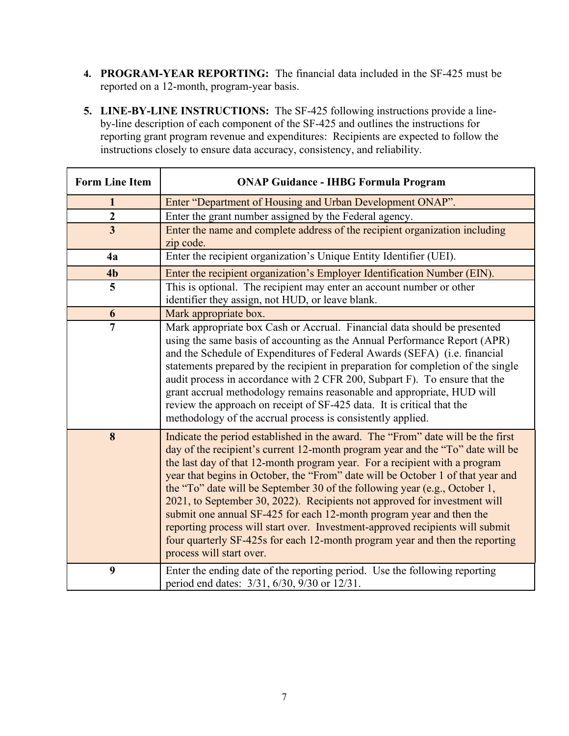- **4. PROGRAM-YEAR REPORTING:** The financial data included in the SF-425 must be reported on a 12-month, program-year basis.
- **5. LINE-BY-LINE INSTRUCTIONS:** The SF-425 following instructions provide a lineby-line description of each component of the SF-425 and outlines the instructions for reporting grant program revenue and expenditures: Recipients are expected to follow the instructions closely to ensure data accuracy, consistency, and reliability.

| <b>Form Line Item</b>   | <b>ONAP Guidance - IHBG Formula Program</b>                                                                                                                                                                                                                                                                                                                                                                                                                                                                                                                                                                                                                                                                                                                        |
|-------------------------|--------------------------------------------------------------------------------------------------------------------------------------------------------------------------------------------------------------------------------------------------------------------------------------------------------------------------------------------------------------------------------------------------------------------------------------------------------------------------------------------------------------------------------------------------------------------------------------------------------------------------------------------------------------------------------------------------------------------------------------------------------------------|
| 1                       | Enter "Department of Housing and Urban Development ONAP".                                                                                                                                                                                                                                                                                                                                                                                                                                                                                                                                                                                                                                                                                                          |
| $\boldsymbol{2}$        | Enter the grant number assigned by the Federal agency.                                                                                                                                                                                                                                                                                                                                                                                                                                                                                                                                                                                                                                                                                                             |
| $\overline{\mathbf{3}}$ | Enter the name and complete address of the recipient organization including<br>zip code.                                                                                                                                                                                                                                                                                                                                                                                                                                                                                                                                                                                                                                                                           |
| 4a                      | Enter the recipient organization's Unique Entity Identifier (UEI).                                                                                                                                                                                                                                                                                                                                                                                                                                                                                                                                                                                                                                                                                                 |
| 4 <sub>b</sub>          | Enter the recipient organization's Employer Identification Number (EIN).                                                                                                                                                                                                                                                                                                                                                                                                                                                                                                                                                                                                                                                                                           |
| 5                       | This is optional. The recipient may enter an account number or other<br>identifier they assign, not HUD, or leave blank.                                                                                                                                                                                                                                                                                                                                                                                                                                                                                                                                                                                                                                           |
| 6                       | Mark appropriate box.                                                                                                                                                                                                                                                                                                                                                                                                                                                                                                                                                                                                                                                                                                                                              |
| 7                       | Mark appropriate box Cash or Accrual. Financial data should be presented<br>using the same basis of accounting as the Annual Performance Report (APR)<br>and the Schedule of Expenditures of Federal Awards (SEFA) (i.e. financial<br>statements prepared by the recipient in preparation for completion of the single<br>audit process in accordance with 2 CFR 200, Subpart F). To ensure that the<br>grant accrual methodology remains reasonable and appropriate, HUD will<br>review the approach on receipt of SF-425 data. It is critical that the<br>methodology of the accrual process is consistently applied.                                                                                                                                            |
| 8                       | Indicate the period established in the award. The "From" date will be the first<br>day of the recipient's current 12-month program year and the "To" date will be<br>the last day of that 12-month program year. For a recipient with a program<br>year that begins in October, the "From" date will be October 1 of that year and<br>the "To" date will be September 30 of the following year (e.g., October 1,<br>2021, to September 30, 2022). Recipients not approved for investment will<br>submit one annual SF-425 for each 12-month program year and then the<br>reporting process will start over. Investment-approved recipients will submit<br>four quarterly SF-425s for each 12-month program year and then the reporting<br>process will start over. |
| 9                       | Enter the ending date of the reporting period. Use the following reporting<br>period end dates: 3/31, 6/30, 9/30 or 12/31.                                                                                                                                                                                                                                                                                                                                                                                                                                                                                                                                                                                                                                         |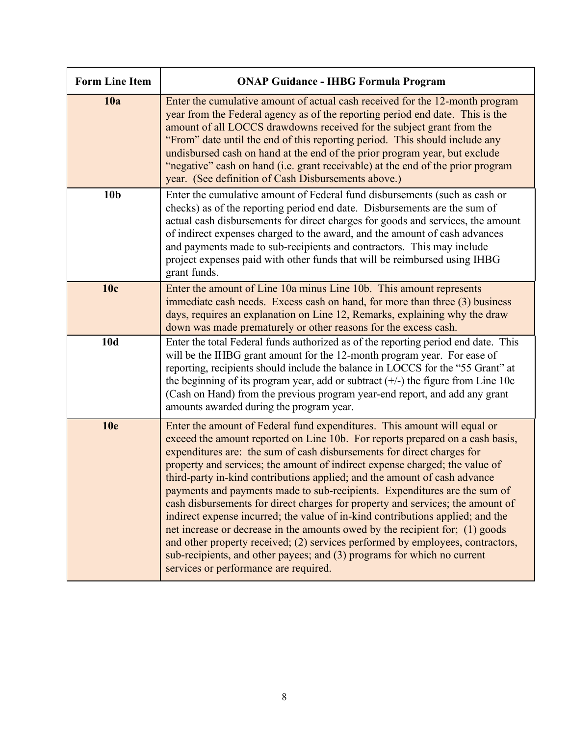| <b>Form Line Item</b> | <b>ONAP Guidance - IHBG Formula Program</b>                                                                                                                                                                                                                                                                                                                                                                                                                                                                                                                                                                                                                                                                                                                                                                                                                                                                                            |
|-----------------------|----------------------------------------------------------------------------------------------------------------------------------------------------------------------------------------------------------------------------------------------------------------------------------------------------------------------------------------------------------------------------------------------------------------------------------------------------------------------------------------------------------------------------------------------------------------------------------------------------------------------------------------------------------------------------------------------------------------------------------------------------------------------------------------------------------------------------------------------------------------------------------------------------------------------------------------|
| 10a                   | Enter the cumulative amount of actual cash received for the 12-month program<br>year from the Federal agency as of the reporting period end date. This is the<br>amount of all LOCCS drawdowns received for the subject grant from the<br>"From" date until the end of this reporting period. This should include any<br>undisbursed cash on hand at the end of the prior program year, but exclude<br>"negative" cash on hand (i.e. grant receivable) at the end of the prior program<br>year. (See definition of Cash Disbursements above.)                                                                                                                                                                                                                                                                                                                                                                                          |
| 10 <sub>b</sub>       | Enter the cumulative amount of Federal fund disbursements (such as cash or<br>checks) as of the reporting period end date. Disbursements are the sum of<br>actual cash disbursements for direct charges for goods and services, the amount<br>of indirect expenses charged to the award, and the amount of cash advances<br>and payments made to sub-recipients and contractors. This may include<br>project expenses paid with other funds that will be reimbursed using IHBG<br>grant funds.                                                                                                                                                                                                                                                                                                                                                                                                                                         |
| 10c                   | Enter the amount of Line 10a minus Line 10b. This amount represents<br>immediate cash needs. Excess cash on hand, for more than three (3) business<br>days, requires an explanation on Line 12, Remarks, explaining why the draw<br>down was made prematurely or other reasons for the excess cash.                                                                                                                                                                                                                                                                                                                                                                                                                                                                                                                                                                                                                                    |
| <b>10d</b>            | Enter the total Federal funds authorized as of the reporting period end date. This<br>will be the IHBG grant amount for the 12-month program year. For ease of<br>reporting, recipients should include the balance in LOCCS for the "55 Grant" at<br>the beginning of its program year, add or subtract $(+/-)$ the figure from Line 10c<br>(Cash on Hand) from the previous program year-end report, and add any grant<br>amounts awarded during the program year.                                                                                                                                                                                                                                                                                                                                                                                                                                                                    |
| <b>10e</b>            | Enter the amount of Federal fund expenditures. This amount will equal or<br>exceed the amount reported on Line 10b. For reports prepared on a cash basis,<br>expenditures are: the sum of cash disbursements for direct charges for<br>property and services; the amount of indirect expense charged; the value of<br>third-party in-kind contributions applied; and the amount of cash advance<br>payments and payments made to sub-recipients. Expenditures are the sum of<br>cash disbursements for direct charges for property and services; the amount of<br>indirect expense incurred; the value of in-kind contributions applied; and the<br>net increase or decrease in the amounts owed by the recipient for; (1) goods<br>and other property received; (2) services performed by employees, contractors,<br>sub-recipients, and other payees; and (3) programs for which no current<br>services or performance are required. |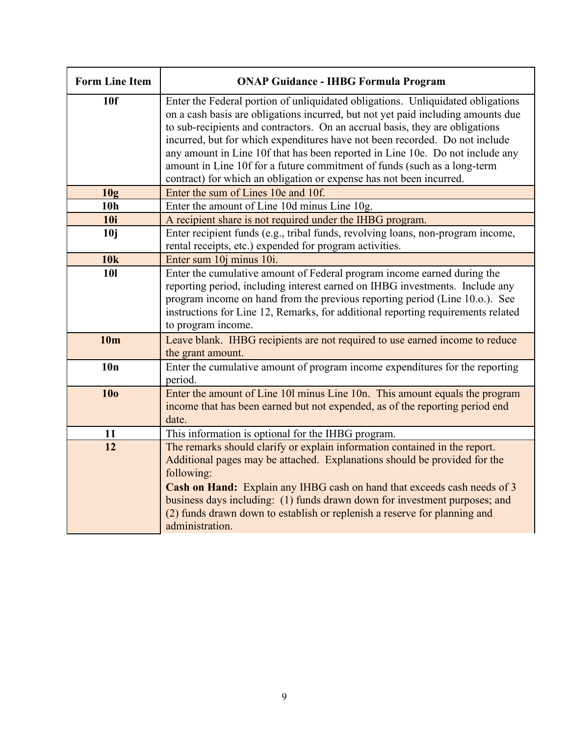| <b>Form Line Item</b> | <b>ONAP Guidance - IHBG Formula Program</b>                                                                                                                                                                                                                                                                                                                                                                                                                                                                                                                            |
|-----------------------|------------------------------------------------------------------------------------------------------------------------------------------------------------------------------------------------------------------------------------------------------------------------------------------------------------------------------------------------------------------------------------------------------------------------------------------------------------------------------------------------------------------------------------------------------------------------|
| 10 <sub>f</sub>       | Enter the Federal portion of unliquidated obligations. Unliquidated obligations<br>on a cash basis are obligations incurred, but not yet paid including amounts due<br>to sub-recipients and contractors. On an accrual basis, they are obligations<br>incurred, but for which expenditures have not been recorded. Do not include<br>any amount in Line 10f that has been reported in Line 10e. Do not include any<br>amount in Line 10f for a future commitment of funds (such as a long-term<br>contract) for which an obligation or expense has not been incurred. |
| 10g                   | Enter the sum of Lines 10e and 10f.                                                                                                                                                                                                                                                                                                                                                                                                                                                                                                                                    |
| 10 <sub>h</sub>       | Enter the amount of Line 10d minus Line 10g.                                                                                                                                                                                                                                                                                                                                                                                                                                                                                                                           |
| <b>10i</b>            | A recipient share is not required under the IHBG program.                                                                                                                                                                                                                                                                                                                                                                                                                                                                                                              |
| 10j                   | Enter recipient funds (e.g., tribal funds, revolving loans, non-program income,<br>rental receipts, etc.) expended for program activities.                                                                                                                                                                                                                                                                                                                                                                                                                             |
| 10k                   | Enter sum 10j minus 10i.                                                                                                                                                                                                                                                                                                                                                                                                                                                                                                                                               |
| <b>101</b>            | Enter the cumulative amount of Federal program income earned during the<br>reporting period, including interest earned on IHBG investments. Include any<br>program income on hand from the previous reporting period (Line 10.o.). See<br>instructions for Line 12, Remarks, for additional reporting requirements related<br>to program income.                                                                                                                                                                                                                       |
| 10 <sub>m</sub>       | Leave blank. IHBG recipients are not required to use earned income to reduce<br>the grant amount.                                                                                                                                                                                                                                                                                                                                                                                                                                                                      |
| 10n                   | Enter the cumulative amount of program income expenditures for the reporting<br>period.                                                                                                                                                                                                                                                                                                                                                                                                                                                                                |
| <b>10o</b>            | Enter the amount of Line 101 minus Line 10n. This amount equals the program<br>income that has been earned but not expended, as of the reporting period end<br>date.                                                                                                                                                                                                                                                                                                                                                                                                   |
| 11                    | This information is optional for the IHBG program.                                                                                                                                                                                                                                                                                                                                                                                                                                                                                                                     |
| 12                    | The remarks should clarify or explain information contained in the report.<br>Additional pages may be attached. Explanations should be provided for the<br>following:<br>Cash on Hand: Explain any IHBG cash on hand that exceeds cash needs of 3<br>business days including: (1) funds drawn down for investment purposes; and<br>(2) funds drawn down to establish or replenish a reserve for planning and<br>administration.                                                                                                                                        |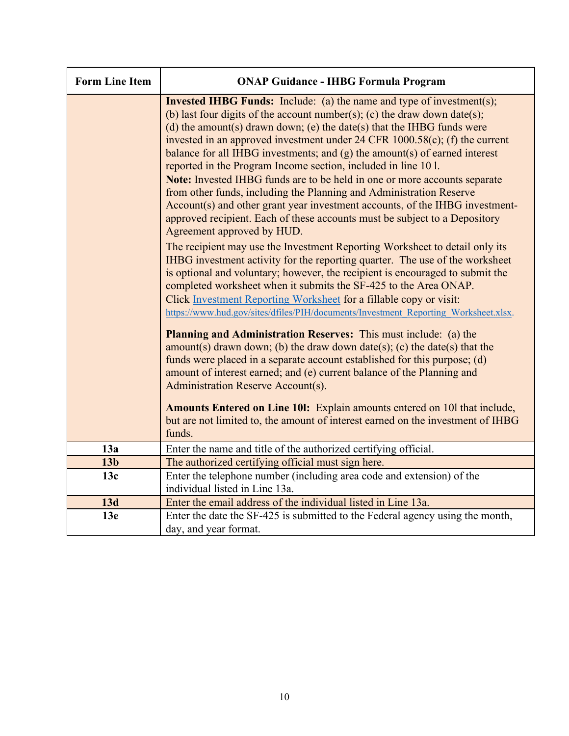| <b>Form Line Item</b> | <b>ONAP Guidance - IHBG Formula Program</b>                                                                                                                                                                                                                                                                                                                                                                                                                                                                                                                                                                                                                                                                                                                                                                                                                                                                                                                                                                                                                                                                                                                                                                                                                                                               |
|-----------------------|-----------------------------------------------------------------------------------------------------------------------------------------------------------------------------------------------------------------------------------------------------------------------------------------------------------------------------------------------------------------------------------------------------------------------------------------------------------------------------------------------------------------------------------------------------------------------------------------------------------------------------------------------------------------------------------------------------------------------------------------------------------------------------------------------------------------------------------------------------------------------------------------------------------------------------------------------------------------------------------------------------------------------------------------------------------------------------------------------------------------------------------------------------------------------------------------------------------------------------------------------------------------------------------------------------------|
|                       | <b>Invested IHBG Funds:</b> Include: (a) the name and type of investment(s);<br>(b) last four digits of the account number(s); (c) the draw down date(s);<br>(d) the amount(s) drawn down; (e) the date(s) that the IHBG funds were<br>invested in an approved investment under $24$ CFR $1000.58(c)$ ; (f) the current<br>balance for all IHBG investments; and $(g)$ the amount(s) of earned interest<br>reported in the Program Income section, included in line 101.<br>Note: Invested IHBG funds are to be held in one or more accounts separate<br>from other funds, including the Planning and Administration Reserve<br>Account(s) and other grant year investment accounts, of the IHBG investment-<br>approved recipient. Each of these accounts must be subject to a Depository<br>Agreement approved by HUD.<br>The recipient may use the Investment Reporting Worksheet to detail only its<br>IHBG investment activity for the reporting quarter. The use of the worksheet<br>is optional and voluntary; however, the recipient is encouraged to submit the<br>completed worksheet when it submits the SF-425 to the Area ONAP.<br>Click Investment Reporting Worksheet for a fillable copy or visit:<br>https://www.hud.gov/sites/dfiles/PIH/documents/Investment Reporting Worksheet.xlsx. |
|                       | <b>Planning and Administration Reserves:</b> This must include: (a) the<br>amount(s) drawn down; (b) the draw down date(s); (c) the date(s) that the<br>funds were placed in a separate account established for this purpose; (d)<br>amount of interest earned; and (e) current balance of the Planning and<br>Administration Reserve Account(s).                                                                                                                                                                                                                                                                                                                                                                                                                                                                                                                                                                                                                                                                                                                                                                                                                                                                                                                                                         |
|                       | Amounts Entered on Line 101: Explain amounts entered on 101 that include,<br>but are not limited to, the amount of interest earned on the investment of IHBG<br>funds.                                                                                                                                                                                                                                                                                                                                                                                                                                                                                                                                                                                                                                                                                                                                                                                                                                                                                                                                                                                                                                                                                                                                    |
| 13a                   | Enter the name and title of the authorized certifying official.                                                                                                                                                                                                                                                                                                                                                                                                                                                                                                                                                                                                                                                                                                                                                                                                                                                                                                                                                                                                                                                                                                                                                                                                                                           |
| 13 <sub>b</sub>       | The authorized certifying official must sign here.                                                                                                                                                                                                                                                                                                                                                                                                                                                                                                                                                                                                                                                                                                                                                                                                                                                                                                                                                                                                                                                                                                                                                                                                                                                        |
| 13c                   | Enter the telephone number (including area code and extension) of the                                                                                                                                                                                                                                                                                                                                                                                                                                                                                                                                                                                                                                                                                                                                                                                                                                                                                                                                                                                                                                                                                                                                                                                                                                     |
|                       | individual listed in Line 13a.                                                                                                                                                                                                                                                                                                                                                                                                                                                                                                                                                                                                                                                                                                                                                                                                                                                                                                                                                                                                                                                                                                                                                                                                                                                                            |
| 13d                   | Enter the email address of the individual listed in Line 13a.                                                                                                                                                                                                                                                                                                                                                                                                                                                                                                                                                                                                                                                                                                                                                                                                                                                                                                                                                                                                                                                                                                                                                                                                                                             |
| 13e                   | Enter the date the SF-425 is submitted to the Federal agency using the month,                                                                                                                                                                                                                                                                                                                                                                                                                                                                                                                                                                                                                                                                                                                                                                                                                                                                                                                                                                                                                                                                                                                                                                                                                             |
|                       | day, and year format.                                                                                                                                                                                                                                                                                                                                                                                                                                                                                                                                                                                                                                                                                                                                                                                                                                                                                                                                                                                                                                                                                                                                                                                                                                                                                     |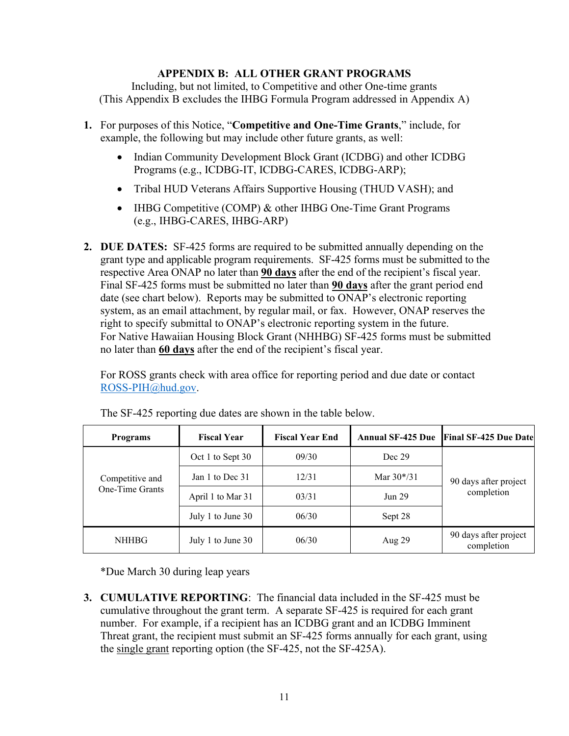### **APPENDIX B: ALL OTHER GRANT PROGRAMS**

Including, but not limited, to Competitive and other One-time grants (This Appendix B excludes the IHBG Formula Program addressed in Appendix A)

- **1.** For purposes of this Notice, "**Competitive and One-Time Grants**," include, for example, the following but may include other future grants, as well:
	- Indian Community Development Block Grant (ICDBG) and other ICDBG Programs (e.g., ICDBG-IT, ICDBG-CARES, ICDBG-ARP);
	- Tribal HUD Veterans Affairs Supportive Housing (THUD VASH); and
	- IHBG Competitive (COMP) & other IHBG One-Time Grant Programs (e.g., IHBG-CARES, IHBG-ARP)
- **2. DUE DATES:** SF-425 forms are required to be submitted annually depending on the grant type and applicable program requirements. SF-425 forms must be submitted to the respective Area ONAP no later than **90 days** after the end of the recipient's fiscal year. Final SF-425 forms must be submitted no later than **90 days** after the grant period end date (see chart below). Reports may be submitted to ONAP's electronic reporting system, as an email attachment, by regular mail, or fax. However, ONAP reserves the right to specify submittal to ONAP's electronic reporting system in the future. For Native Hawaiian Housing Block Grant (NHHBG) SF-425 forms must be submitted no later than **60 days** after the end of the recipient's fiscal year.

For ROSS grants check with area office for reporting period and due date or contact [ROSS-PIH@hud.gov.](mailto:ROSS-PIH@hud.gov)

| <b>Programs</b>                    | <b>Fiscal Year</b> | <b>Fiscal Year End</b> | <b>Annual SF-425 Due</b> | <b>Final SF-425 Due Date</b>        |  |  |
|------------------------------------|--------------------|------------------------|--------------------------|-------------------------------------|--|--|
|                                    | Oct 1 to Sept 30   | 09/30                  | Dec 29                   |                                     |  |  |
| Competitive and<br>One-Time Grants | Jan 1 to Dec 31    | 12/31<br>Mar $30*/31$  |                          | 90 days after project               |  |  |
|                                    | April 1 to Mar 31  | 03/31                  | <b>Jun 29</b>            | completion                          |  |  |
|                                    | July 1 to June 30  | 06/30                  | Sept 28                  |                                     |  |  |
| <b>NHHBG</b>                       | July 1 to June 30  | 06/30                  | Aug $29$                 | 90 days after project<br>completion |  |  |

The SF-425 reporting due dates are shown in the table below.

\*Due March 30 during leap years

**3. CUMULATIVE REPORTING**: The financial data included in the SF-425 must be cumulative throughout the grant term. A separate SF-425 is required for each grant number. For example, if a recipient has an ICDBG grant and an ICDBG Imminent Threat grant, the recipient must submit an SF-425 forms annually for each grant, using the single grant reporting option (the SF-425, not the SF-425A).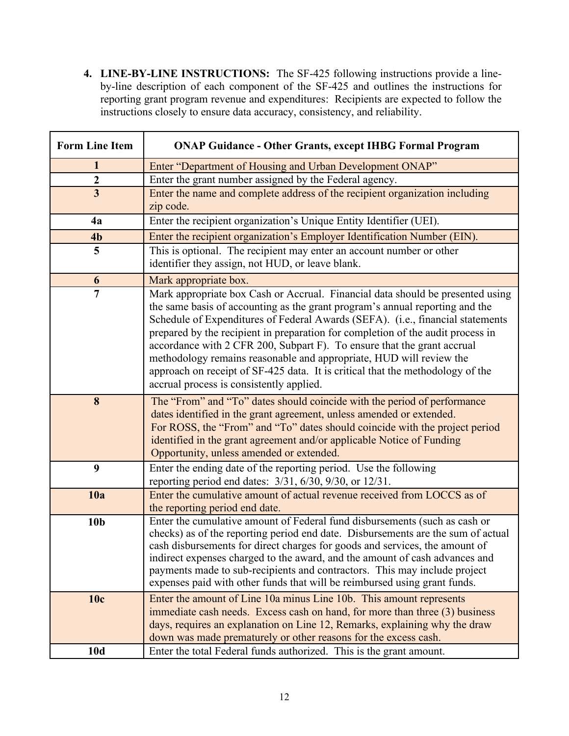**4. LINE-BY-LINE INSTRUCTIONS:** The SF-425 following instructions provide a lineby-line description of each component of the SF-425 and outlines the instructions for reporting grant program revenue and expenditures: Recipients are expected to follow the instructions closely to ensure data accuracy, consistency, and reliability.

| <b>Form Line Item</b>   | <b>ONAP Guidance - Other Grants, except IHBG Formal Program</b>                                                                                                                                                                                                                                                                                                                                                                                                                                                                                                                                                     |
|-------------------------|---------------------------------------------------------------------------------------------------------------------------------------------------------------------------------------------------------------------------------------------------------------------------------------------------------------------------------------------------------------------------------------------------------------------------------------------------------------------------------------------------------------------------------------------------------------------------------------------------------------------|
| $\mathbf{1}$            | Enter "Department of Housing and Urban Development ONAP"                                                                                                                                                                                                                                                                                                                                                                                                                                                                                                                                                            |
| $\boldsymbol{2}$        | Enter the grant number assigned by the Federal agency.                                                                                                                                                                                                                                                                                                                                                                                                                                                                                                                                                              |
| $\overline{\mathbf{3}}$ | Enter the name and complete address of the recipient organization including<br>zip code.                                                                                                                                                                                                                                                                                                                                                                                                                                                                                                                            |
| 4a                      | Enter the recipient organization's Unique Entity Identifier (UEI).                                                                                                                                                                                                                                                                                                                                                                                                                                                                                                                                                  |
| 4 <sub>b</sub>          | Enter the recipient organization's Employer Identification Number (EIN).                                                                                                                                                                                                                                                                                                                                                                                                                                                                                                                                            |
| 5                       | This is optional. The recipient may enter an account number or other<br>identifier they assign, not HUD, or leave blank.                                                                                                                                                                                                                                                                                                                                                                                                                                                                                            |
| 6                       | Mark appropriate box.                                                                                                                                                                                                                                                                                                                                                                                                                                                                                                                                                                                               |
| $\overline{7}$          | Mark appropriate box Cash or Accrual. Financial data should be presented using<br>the same basis of accounting as the grant program's annual reporting and the<br>Schedule of Expenditures of Federal Awards (SEFA). (i.e., financial statements<br>prepared by the recipient in preparation for completion of the audit process in<br>accordance with 2 CFR 200, Subpart F). To ensure that the grant accrual<br>methodology remains reasonable and appropriate, HUD will review the<br>approach on receipt of SF-425 data. It is critical that the methodology of the<br>accrual process is consistently applied. |
| 8                       | The "From" and "To" dates should coincide with the period of performance<br>dates identified in the grant agreement, unless amended or extended.<br>For ROSS, the "From" and "To" dates should coincide with the project period<br>identified in the grant agreement and/or applicable Notice of Funding<br>Opportunity, unless amended or extended.                                                                                                                                                                                                                                                                |
| 9                       | Enter the ending date of the reporting period. Use the following<br>reporting period end dates: $3/31$ , $6/30$ , $9/30$ , or $12/31$ .                                                                                                                                                                                                                                                                                                                                                                                                                                                                             |
| 10a                     | Enter the cumulative amount of actual revenue received from LOCCS as of<br>the reporting period end date.                                                                                                                                                                                                                                                                                                                                                                                                                                                                                                           |
| 10 <sub>b</sub>         | Enter the cumulative amount of Federal fund disbursements (such as cash or<br>checks) as of the reporting period end date. Disbursements are the sum of actual<br>cash disbursements for direct charges for goods and services, the amount of<br>indirect expenses charged to the award, and the amount of cash advances and<br>payments made to sub-recipients and contractors. This may include project<br>expenses paid with other funds that will be reimbursed using grant funds.                                                                                                                              |
| 10c<br>10d              | Enter the amount of Line 10a minus Line 10b. This amount represents<br>immediate cash needs. Excess cash on hand, for more than three (3) business<br>days, requires an explanation on Line 12, Remarks, explaining why the draw<br>down was made prematurely or other reasons for the excess cash.<br>Enter the total Federal funds authorized. This is the grant amount.                                                                                                                                                                                                                                          |
|                         |                                                                                                                                                                                                                                                                                                                                                                                                                                                                                                                                                                                                                     |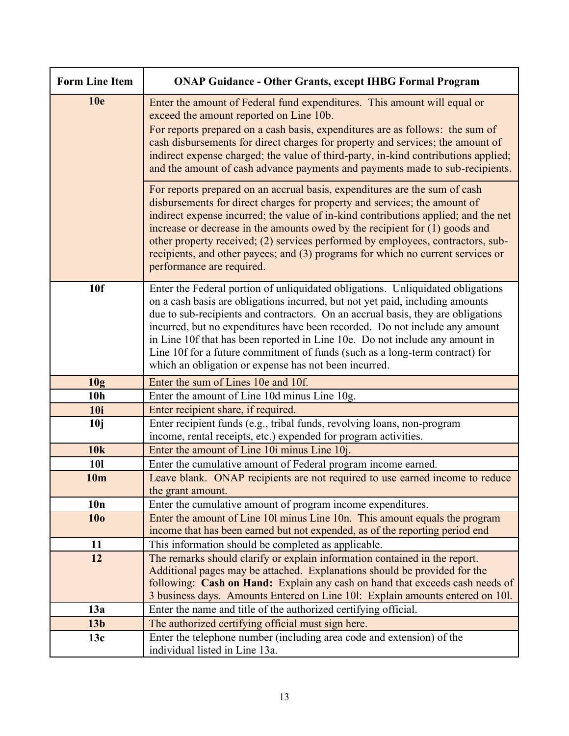| <b>Form Line Item</b> | <b>ONAP Guidance - Other Grants, except IHBG Formal Program</b>                                                                                                                                                                                                                                                                                                                                                                                                                                                                                              |
|-----------------------|--------------------------------------------------------------------------------------------------------------------------------------------------------------------------------------------------------------------------------------------------------------------------------------------------------------------------------------------------------------------------------------------------------------------------------------------------------------------------------------------------------------------------------------------------------------|
| <b>10e</b>            | Enter the amount of Federal fund expenditures. This amount will equal or<br>exceed the amount reported on Line 10b.<br>For reports prepared on a cash basis, expenditures are as follows: the sum of<br>cash disbursements for direct charges for property and services; the amount of<br>indirect expense charged; the value of third-party, in-kind contributions applied;<br>and the amount of cash advance payments and payments made to sub-recipients.                                                                                                 |
|                       | For reports prepared on an accrual basis, expenditures are the sum of cash<br>disbursements for direct charges for property and services; the amount of<br>indirect expense incurred; the value of in-kind contributions applied; and the net<br>increase or decrease in the amounts owed by the recipient for $(1)$ goods and<br>other property received; (2) services performed by employees, contractors, sub-<br>recipients, and other payees; and (3) programs for which no current services or<br>performance are required.                            |
| 10f                   | Enter the Federal portion of unliquidated obligations. Unliquidated obligations<br>on a cash basis are obligations incurred, but not yet paid, including amounts<br>due to sub-recipients and contractors. On an accrual basis, they are obligations<br>incurred, but no expenditures have been recorded. Do not include any amount<br>in Line 10f that has been reported in Line 10e. Do not include any amount in<br>Line 10f for a future commitment of funds (such as a long-term contract) for<br>which an obligation or expense has not been incurred. |
| 10g                   | Enter the sum of Lines 10e and 10f.                                                                                                                                                                                                                                                                                                                                                                                                                                                                                                                          |
| 10 <sub>h</sub>       | Enter the amount of Line 10d minus Line 10g.                                                                                                                                                                                                                                                                                                                                                                                                                                                                                                                 |
| <b>10i</b>            | Enter recipient share, if required.                                                                                                                                                                                                                                                                                                                                                                                                                                                                                                                          |
| 10j                   | Enter recipient funds (e.g., tribal funds, revolving loans, non-program<br>income, rental receipts, etc.) expended for program activities.                                                                                                                                                                                                                                                                                                                                                                                                                   |
| 10k                   | Enter the amount of Line 10i minus Line 10j.                                                                                                                                                                                                                                                                                                                                                                                                                                                                                                                 |
| <b>101</b>            | Enter the cumulative amount of Federal program income earned.                                                                                                                                                                                                                                                                                                                                                                                                                                                                                                |
| 10 <sub>m</sub>       | Leave blank. ONAP recipients are not required to use earned income to reduce<br>the grant amount.                                                                                                                                                                                                                                                                                                                                                                                                                                                            |
| 10n                   | Enter the cumulative amount of program income expenditures.                                                                                                                                                                                                                                                                                                                                                                                                                                                                                                  |
| 10 <sub>0</sub>       | Enter the amount of Line 101 minus Line 10n. This amount equals the program<br>income that has been earned but not expended, as of the reporting period end                                                                                                                                                                                                                                                                                                                                                                                                  |
| 11                    | This information should be completed as applicable.                                                                                                                                                                                                                                                                                                                                                                                                                                                                                                          |
| 12                    | The remarks should clarify or explain information contained in the report.                                                                                                                                                                                                                                                                                                                                                                                                                                                                                   |
|                       | Additional pages may be attached. Explanations should be provided for the                                                                                                                                                                                                                                                                                                                                                                                                                                                                                    |
|                       | following: Cash on Hand: Explain any cash on hand that exceeds cash needs of                                                                                                                                                                                                                                                                                                                                                                                                                                                                                 |
|                       | 3 business days. Amounts Entered on Line 101: Explain amounts entered on 101.                                                                                                                                                                                                                                                                                                                                                                                                                                                                                |
| 13a                   | Enter the name and title of the authorized certifying official.                                                                                                                                                                                                                                                                                                                                                                                                                                                                                              |
| 13 <sub>b</sub>       | The authorized certifying official must sign here.                                                                                                                                                                                                                                                                                                                                                                                                                                                                                                           |
| 13c                   | Enter the telephone number (including area code and extension) of the<br>individual listed in Line 13a.                                                                                                                                                                                                                                                                                                                                                                                                                                                      |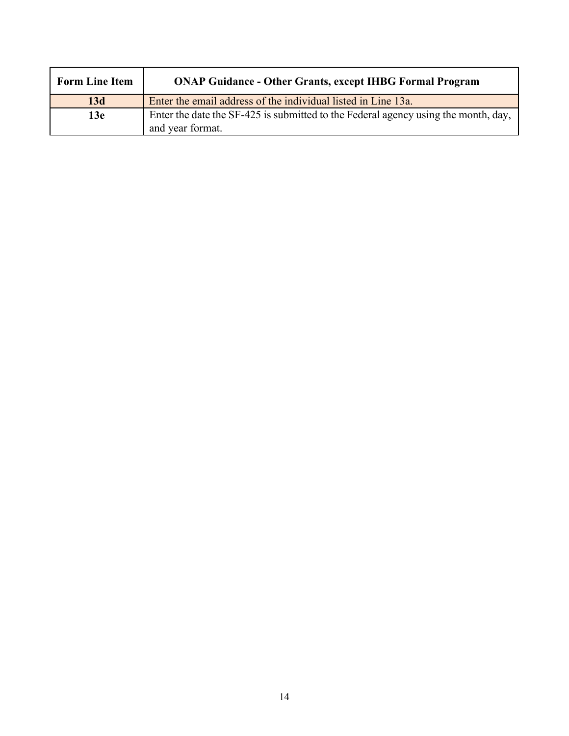| <b>Form Line Item</b> | <b>ONAP Guidance - Other Grants, except IHBG Formal Program</b>                                        |
|-----------------------|--------------------------------------------------------------------------------------------------------|
| 13d                   | Enter the email address of the individual listed in Line 13a.                                          |
| 13e                   | Enter the date the SF-425 is submitted to the Federal agency using the month, day,<br>and year format. |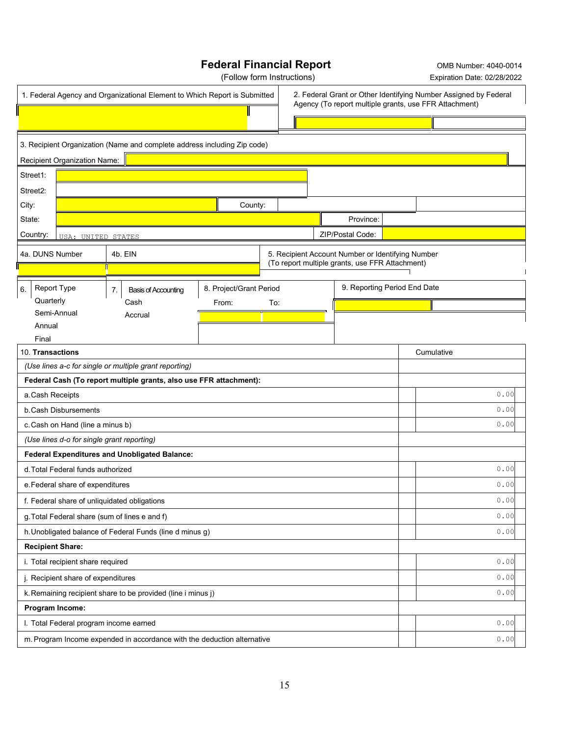# **Federal Financial Report** OMB Number: 4040-0014

(Follow form Instructions) Expiration Date: 02/28/2022

|                          |                                    | 1. Federal Agency and Organizational Element to Which Report is Submitted |                         |     |  | 2. Federal Grant or Other Identifying Number Assigned by Federal<br>Agency (To report multiple grants, use FFR Attachment) |  |            |      |
|--------------------------|------------------------------------|---------------------------------------------------------------------------|-------------------------|-----|--|----------------------------------------------------------------------------------------------------------------------------|--|------------|------|
|                          |                                    |                                                                           |                         |     |  |                                                                                                                            |  |            |      |
|                          |                                    |                                                                           |                         |     |  |                                                                                                                            |  |            |      |
|                          |                                    | 3. Recipient Organization (Name and complete address including Zip code)  |                         |     |  |                                                                                                                            |  |            |      |
|                          | Recipient Organization Name:       |                                                                           |                         |     |  |                                                                                                                            |  |            |      |
| Street1:                 |                                    |                                                                           |                         |     |  |                                                                                                                            |  |            |      |
| Street <sub>2</sub> :    |                                    |                                                                           |                         |     |  |                                                                                                                            |  |            |      |
| City:                    |                                    |                                                                           | County:                 |     |  |                                                                                                                            |  |            |      |
| State:                   |                                    |                                                                           |                         |     |  | Province:                                                                                                                  |  |            |      |
| Country:                 | USA: UNITED STATES                 |                                                                           |                         |     |  | ZIP/Postal Code:                                                                                                           |  |            |      |
| 4a. DUNS Number          |                                    | 4b. EIN                                                                   |                         |     |  | 5. Recipient Account Number or Identifying Number                                                                          |  |            |      |
|                          |                                    |                                                                           |                         |     |  | (To report multiple grants, use FFR Attachment)                                                                            |  |            |      |
| <b>Report Type</b><br>6. |                                    | 7.<br><b>Basis of Accounting</b>                                          | 8. Project/Grant Period |     |  | 9. Reporting Period End Date                                                                                               |  |            |      |
| Quarterly                |                                    | Cash                                                                      | From:                   | To: |  |                                                                                                                            |  |            |      |
| Semi-Annual              |                                    | Accrual                                                                   |                         |     |  |                                                                                                                            |  |            |      |
| Annual<br>Final          |                                    |                                                                           |                         |     |  |                                                                                                                            |  |            |      |
| 10. Transactions         |                                    |                                                                           |                         |     |  |                                                                                                                            |  | Cumulative |      |
|                          |                                    | (Use lines a-c for single or multiple grant reporting)                    |                         |     |  |                                                                                                                            |  |            |      |
|                          |                                    | Federal Cash (To report multiple grants, also use FFR attachment):        |                         |     |  |                                                                                                                            |  |            |      |
| a. Cash Receipts         |                                    |                                                                           |                         |     |  |                                                                                                                            |  |            | 0.00 |
|                          | b. Cash Disbursements              |                                                                           |                         |     |  |                                                                                                                            |  |            | 0.00 |
|                          | c. Cash on Hand (line a minus b)   |                                                                           |                         |     |  |                                                                                                                            |  |            | 0.00 |
|                          |                                    | (Use lines d-o for single grant reporting)                                |                         |     |  |                                                                                                                            |  |            |      |
|                          |                                    | <b>Federal Expenditures and Unobligated Balance:</b>                      |                         |     |  |                                                                                                                            |  |            |      |
|                          | d. Total Federal funds authorized  |                                                                           |                         |     |  |                                                                                                                            |  |            | 0.00 |
|                          | e. Federal share of expenditures   |                                                                           |                         |     |  |                                                                                                                            |  |            | 0.00 |
|                          |                                    | f. Federal share of unliquidated obligations                              |                         |     |  |                                                                                                                            |  |            | 0.00 |
|                          |                                    | g. Total Federal share (sum of lines e and f)                             |                         |     |  |                                                                                                                            |  |            | 0.00 |
|                          |                                    | h. Unobligated balance of Federal Funds (line d minus g)                  |                         |     |  |                                                                                                                            |  |            | 0.00 |
| <b>Recipient Share:</b>  |                                    |                                                                           |                         |     |  |                                                                                                                            |  |            |      |
|                          | i. Total recipient share required  |                                                                           |                         |     |  |                                                                                                                            |  |            | 0.00 |
|                          | j. Recipient share of expenditures |                                                                           |                         |     |  |                                                                                                                            |  |            | 0.00 |
|                          |                                    | k. Remaining recipient share to be provided (line i minus j)              |                         |     |  |                                                                                                                            |  |            | 0.00 |
| Program Income:          |                                    |                                                                           |                         |     |  |                                                                                                                            |  |            |      |
|                          |                                    | I. Total Federal program income earned                                    |                         |     |  |                                                                                                                            |  |            | 0.00 |
|                          |                                    | m. Program Income expended in accordance with the deduction alternative   |                         |     |  |                                                                                                                            |  |            | 0.00 |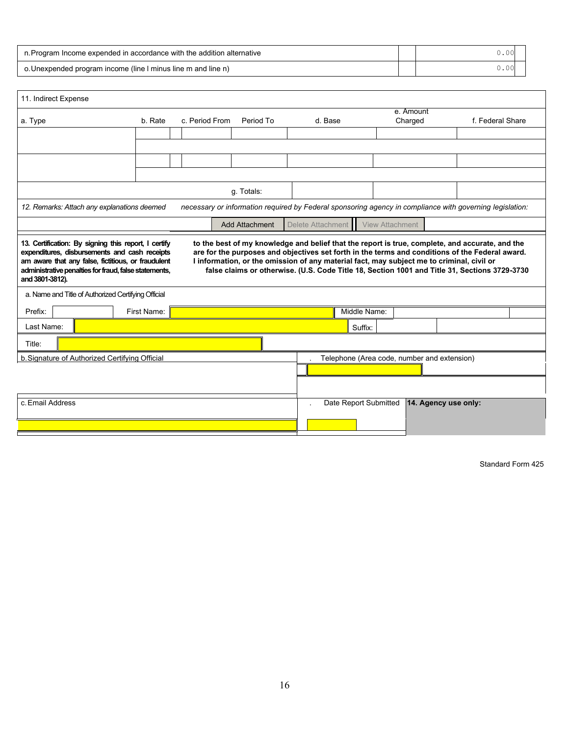| n. Program Income expended in accordance with the addition alternative | .00 |
|------------------------------------------------------------------------|-----|
| o. Unexpended program income (line I minus line m and line n)          | .00 |

| 11. Indirect Expense                                                                                                                                                                                                                                                                                                                                                                                                                                                                                                                                                                                                                                                                               |                                                                      |                |           |         |                                             |                      |                  |  |  |
|----------------------------------------------------------------------------------------------------------------------------------------------------------------------------------------------------------------------------------------------------------------------------------------------------------------------------------------------------------------------------------------------------------------------------------------------------------------------------------------------------------------------------------------------------------------------------------------------------------------------------------------------------------------------------------------------------|----------------------------------------------------------------------|----------------|-----------|---------|---------------------------------------------|----------------------|------------------|--|--|
| a. Type                                                                                                                                                                                                                                                                                                                                                                                                                                                                                                                                                                                                                                                                                            | b. Rate                                                              | c. Period From | Period To | d. Base |                                             | e. Amount<br>Charged | f. Federal Share |  |  |
|                                                                                                                                                                                                                                                                                                                                                                                                                                                                                                                                                                                                                                                                                                    |                                                                      |                |           |         |                                             |                      |                  |  |  |
|                                                                                                                                                                                                                                                                                                                                                                                                                                                                                                                                                                                                                                                                                                    |                                                                      |                |           |         |                                             |                      |                  |  |  |
|                                                                                                                                                                                                                                                                                                                                                                                                                                                                                                                                                                                                                                                                                                    |                                                                      |                |           |         |                                             |                      |                  |  |  |
|                                                                                                                                                                                                                                                                                                                                                                                                                                                                                                                                                                                                                                                                                                    |                                                                      |                |           |         |                                             |                      |                  |  |  |
| g. Totals:                                                                                                                                                                                                                                                                                                                                                                                                                                                                                                                                                                                                                                                                                         |                                                                      |                |           |         |                                             |                      |                  |  |  |
| necessary or information required by Federal sponsoring agency in compliance with governing legislation:<br>12. Remarks: Attach any explanations deemed                                                                                                                                                                                                                                                                                                                                                                                                                                                                                                                                            |                                                                      |                |           |         |                                             |                      |                  |  |  |
|                                                                                                                                                                                                                                                                                                                                                                                                                                                                                                                                                                                                                                                                                                    | Delete Attachment<br><b>View Attachment</b><br><b>Add Attachment</b> |                |           |         |                                             |                      |                  |  |  |
| 13. Certification: By signing this report, I certify<br>to the best of my knowledge and belief that the report is true, complete, and accurate, and the<br>are for the purposes and objectives set forth in the terms and conditions of the Federal award.<br>expenditures, disbursements and cash receipts<br>am aware that any false, fictitious, or fraudulent<br>I information, or the omission of any material fact, may subject me to criminal, civil or<br>administrative penalties for fraud, false statements,<br>false claims or otherwise. (U.S. Code Title 18, Section 1001 and Title 31, Sections 3729-3730<br>and 3801-3812).<br>a. Name and Title of Authorized Certifying Official |                                                                      |                |           |         |                                             |                      |                  |  |  |
| Prefix:                                                                                                                                                                                                                                                                                                                                                                                                                                                                                                                                                                                                                                                                                            | First Name:                                                          |                |           |         | Middle Name:                                |                      |                  |  |  |
| Last Name:                                                                                                                                                                                                                                                                                                                                                                                                                                                                                                                                                                                                                                                                                         |                                                                      |                |           |         | Suffix:                                     |                      |                  |  |  |
| Title:                                                                                                                                                                                                                                                                                                                                                                                                                                                                                                                                                                                                                                                                                             |                                                                      |                |           |         |                                             |                      |                  |  |  |
| b. Signature of Authorized Certifying Official                                                                                                                                                                                                                                                                                                                                                                                                                                                                                                                                                                                                                                                     |                                                                      |                |           |         | Telephone (Area code, number and extension) |                      |                  |  |  |
|                                                                                                                                                                                                                                                                                                                                                                                                                                                                                                                                                                                                                                                                                                    |                                                                      |                |           |         |                                             |                      |                  |  |  |
|                                                                                                                                                                                                                                                                                                                                                                                                                                                                                                                                                                                                                                                                                                    |                                                                      |                |           |         |                                             |                      |                  |  |  |
| c. Email Address                                                                                                                                                                                                                                                                                                                                                                                                                                                                                                                                                                                                                                                                                   |                                                                      |                |           |         | Date Report Submitted                       | 14. Agency use only: |                  |  |  |
|                                                                                                                                                                                                                                                                                                                                                                                                                                                                                                                                                                                                                                                                                                    |                                                                      |                |           |         |                                             |                      |                  |  |  |

Standard Form 425